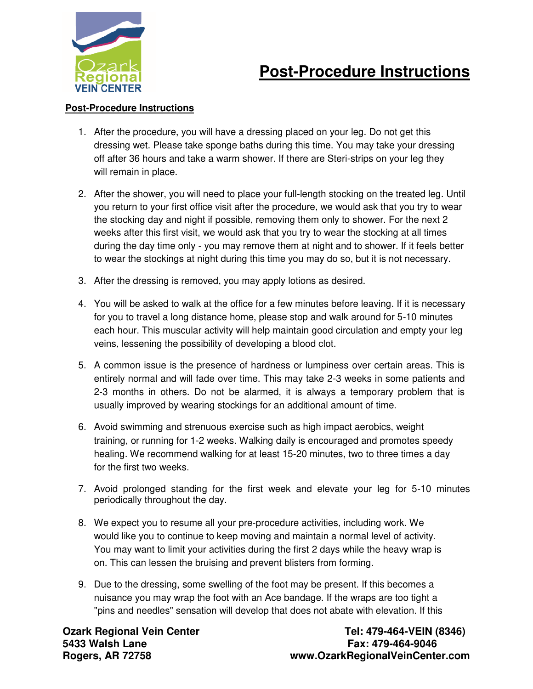

## **Post-Procedure Instructions**

## **Post-Procedure Instructions**

- 1. After the procedure, you will have a dressing placed on your leg. Do not get this dressing wet. Please take sponge baths during this time. You may take your dressing off after 36 hours and take a warm shower. If there are Steri-strips on your leg they will remain in place.
- 2. After the shower, you will need to place your full-length stocking on the treated leg. Until you return to your first office visit after the procedure, we would ask that you try to wear the stocking day and night if possible, removing them only to shower. For the next 2 weeks after this first visit, we would ask that you try to wear the stocking at all times during the day time only - you may remove them at night and to shower. If it feels better to wear the stockings at night during this time you may do so, but it is not necessary.
- 3. After the dressing is removed, you may apply lotions as desired.
- 4. You will be asked to walk at the office for a few minutes before leaving. If it is necessary for you to travel a long distance home, please stop and walk around for 5-10 minutes each hour. This muscular activity will help maintain good circulation and empty your leg veins, lessening the possibility of developing a blood clot.
- 5. A common issue is the presence of hardness or lumpiness over certain areas. This is entirely normal and will fade over time. This may take 2-3 weeks in some patients and 2-3 months in others. Do not be alarmed, it is always a temporary problem that is usually improved by wearing stockings for an additional amount of time.
- 6. Avoid swimming and strenuous exercise such as high impact aerobics, weight training, or running for 1-2 weeks. Walking daily is encouraged and promotes speedy healing. We recommend walking for at least 15-20 minutes, two to three times a day for the first two weeks.
- 7. Avoid prolonged standing for the first week and elevate your leg for 5-10 minutes periodically throughout the day.
- 8. We expect you to resume all your pre-procedure activities, including work. We would like you to continue to keep moving and maintain a normal level of activity. You may want to limit your activities during the first 2 days while the heavy wrap is on. This can lessen the bruising and prevent blisters from forming.
- 9. Due to the dressing, some swelling of the foot may be present. If this becomes a nuisance you may wrap the foot with an Ace bandage. If the wraps are too tight a "pins and needles" sensation will develop that does not abate with elevation. If this

**Ozark Regional Vein Center Center Tel: 479-464-VEIN (8346) 5433 Walsh Lane Fax: 479-464-9046**  www.OzarkRegionalVeinCenter.com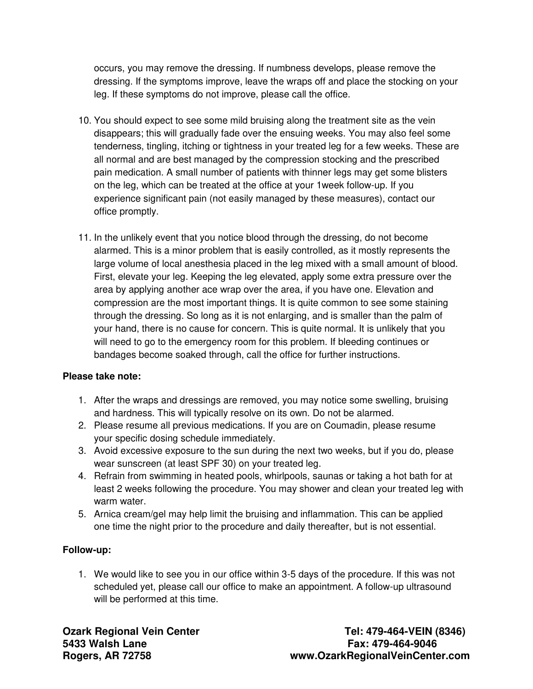occurs, you may remove the dressing. If numbness develops, please remove the dressing. If the symptoms improve, leave the wraps off and place the stocking on your leg. If these symptoms do not improve, please call the office.

- 10. You should expect to see some mild bruising along the treatment site as the vein disappears; this will gradually fade over the ensuing weeks. You may also feel some tenderness, tingling, itching or tightness in your treated leg for a few weeks. These are all normal and are best managed by the compression stocking and the prescribed pain medication. A small number of patients with thinner legs may get some blisters on the leg, which can be treated at the office at your 1week follow-up. If you experience significant pain (not easily managed by these measures), contact our office promptly.
- 11. In the unlikely event that you notice blood through the dressing, do not become alarmed. This is a minor problem that is easily controlled, as it mostly represents the large volume of local anesthesia placed in the leg mixed with a small amount of blood. First, elevate your leg. Keeping the leg elevated, apply some extra pressure over the area by applying another ace wrap over the area, if you have one. Elevation and compression are the most important things. It is quite common to see some staining through the dressing. So long as it is not enlarging, and is smaller than the palm of your hand, there is no cause for concern. This is quite normal. It is unlikely that you will need to go to the emergency room for this problem. If bleeding continues or bandages become soaked through, call the office for further instructions.

## **Please take note:**

- 1. After the wraps and dressings are removed, you may notice some swelling, bruising and hardness. This will typically resolve on its own. Do not be alarmed.
- 2. Please resume all previous medications. If you are on Coumadin, please resume your specific dosing schedule immediately.
- 3. Avoid excessive exposure to the sun during the next two weeks, but if you do, please wear sunscreen (at least SPF 30) on your treated leg.
- 4. Refrain from swimming in heated pools, whirlpools, saunas or taking a hot bath for at least 2 weeks following the procedure. You may shower and clean your treated leg with warm water.
- 5. Arnica cream/gel may help limit the bruising and inflammation. This can be applied one time the night prior to the procedure and daily thereafter, but is not essential.

## **Follow-up:**

1. We would like to see you in our office within 3-5 days of the procedure. If this was not scheduled yet, please call our office to make an appointment. A follow-up ultrasound will be performed at this time.

**Ozark Regional Vein Center Center Tel: 479-464-VEIN (8346) 5433 Walsh Lane Fax: 479-464-9046 Rogers, AR 72758 www.OzarkRegionalVeinCenter.com**